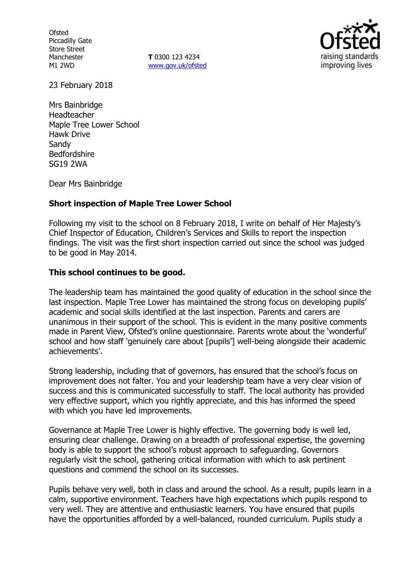**Ofsted** Piccadilly Gate Store Street Manchester M1 2WD

**T** 0300 123 4234 www.gov.uk/ofsted



23 February 2018

Mrs Bainbridge Headteacher Maple Tree Lower School Hawk Drive Sandy Bedfordshire SG19 2WA

Dear Mrs Bainbridge

### **Short inspection of Maple Tree Lower School**

Following my visit to the school on 8 February 2018, I write on behalf of Her Majesty's Chief Inspector of Education, Children's Services and Skills to report the inspection findings. The visit was the first short inspection carried out since the school was judged to be good in May 2014.

#### **This school continues to be good.**

The leadership team has maintained the good quality of education in the school since the last inspection. Maple Tree Lower has maintained the strong focus on developing pupils' academic and social skills identified at the last inspection. Parents and carers are unanimous in their support of the school. This is evident in the many positive comments made in Parent View, Ofsted's online questionnaire. Parents wrote about the 'wonderful' school and how staff 'genuinely care about [pupils'] well-being alongside their academic achievements'.

Strong leadership, including that of governors, has ensured that the school's focus on improvement does not falter. You and your leadership team have a very clear vision of success and this is communicated successfully to staff. The local authority has provided very effective support, which you rightly appreciate, and this has informed the speed with which you have led improvements.

Governance at Maple Tree Lower is highly effective. The governing body is well led, ensuring clear challenge. Drawing on a breadth of professional expertise, the governing body is able to support the school's robust approach to safeguarding. Governors regularly visit the school, gathering critical information with which to ask pertinent questions and commend the school on its successes.

Pupils behave very well, both in class and around the school. As a result, pupils learn in a calm, supportive environment. Teachers have high expectations which pupils respond to very well. They are attentive and enthusiastic learners. You have ensured that pupils have the opportunities afforded by a well-balanced, rounded curriculum. Pupils study a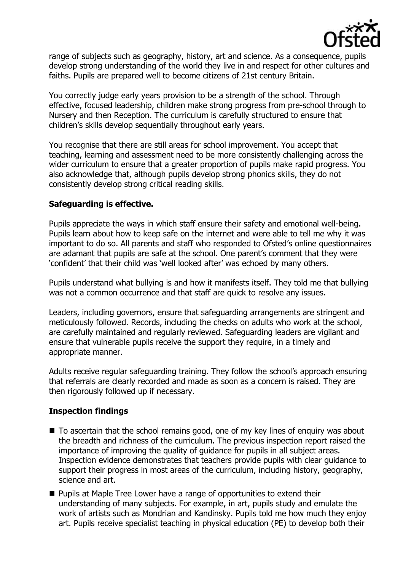

range of subjects such as geography, history, art and science. As a consequence, pupils develop strong understanding of the world they live in and respect for other cultures and faiths. Pupils are prepared well to become citizens of 21st century Britain.

You correctly judge early years provision to be a strength of the school. Through effective, focused leadership, children make strong progress from pre-school through to Nursery and then Reception. The curriculum is carefully structured to ensure that children's skills develop sequentially throughout early years.

You recognise that there are still areas for school improvement. You accept that teaching, learning and assessment need to be more consistently challenging across the wider curriculum to ensure that a greater proportion of pupils make rapid progress. You also acknowledge that, although pupils develop strong phonics skills, they do not consistently develop strong critical reading skills.

## **Safeguarding is effective.**

Pupils appreciate the ways in which staff ensure their safety and emotional well-being. Pupils learn about how to keep safe on the internet and were able to tell me why it was important to do so. All parents and staff who responded to Ofsted's online questionnaires are adamant that pupils are safe at the school. One parent's comment that they were 'confident' that their child was 'well looked after' was echoed by many others.

Pupils understand what bullying is and how it manifests itself. They told me that bullying was not a common occurrence and that staff are quick to resolve any issues.

Leaders, including governors, ensure that safeguarding arrangements are stringent and meticulously followed. Records, including the checks on adults who work at the school, are carefully maintained and regularly reviewed. Safeguarding leaders are vigilant and ensure that vulnerable pupils receive the support they require, in a timely and appropriate manner.

Adults receive regular safeguarding training. They follow the school's approach ensuring that referrals are clearly recorded and made as soon as a concern is raised. They are then rigorously followed up if necessary.

# **Inspection findings**

- To ascertain that the school remains good, one of my key lines of enquiry was about the breadth and richness of the curriculum. The previous inspection report raised the importance of improving the quality of guidance for pupils in all subject areas. Inspection evidence demonstrates that teachers provide pupils with clear guidance to support their progress in most areas of the curriculum, including history, geography, science and art.
- **Pupils at Maple Tree Lower have a range of opportunities to extend their** understanding of many subjects. For example, in art, pupils study and emulate the work of artists such as Mondrian and Kandinsky. Pupils told me how much they enjoy art. Pupils receive specialist teaching in physical education (PE) to develop both their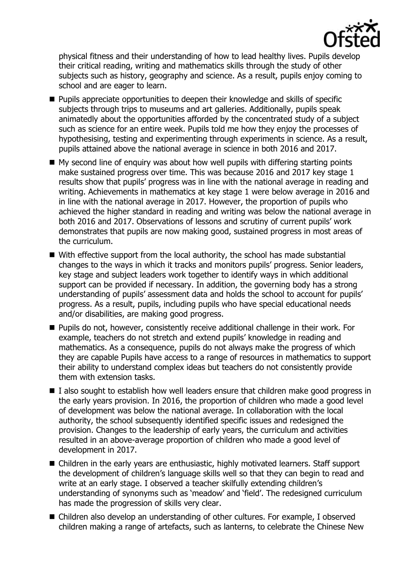

physical fitness and their understanding of how to lead healthy lives. Pupils develop their critical reading, writing and mathematics skills through the study of other subjects such as history, geography and science. As a result, pupils enjoy coming to school and are eager to learn.

- **Pupils appreciate opportunities to deepen their knowledge and skills of specific** subjects through trips to museums and art galleries. Additionally, pupils speak animatedly about the opportunities afforded by the concentrated study of a subject such as science for an entire week. Pupils told me how they enjoy the processes of hypothesising, testing and experimenting through experiments in science. As a result, pupils attained above the national average in science in both 2016 and 2017.
- $\blacksquare$  My second line of enguiry was about how well pupils with differing starting points make sustained progress over time. This was because 2016 and 2017 key stage 1 results show that pupils' progress was in line with the national average in reading and writing. Achievements in mathematics at key stage 1 were below average in 2016 and in line with the national average in 2017. However, the proportion of pupils who achieved the higher standard in reading and writing was below the national average in both 2016 and 2017. Observations of lessons and scrutiny of current pupils' work demonstrates that pupils are now making good, sustained progress in most areas of the curriculum.
- With effective support from the local authority, the school has made substantial changes to the ways in which it tracks and monitors pupils' progress. Senior leaders, key stage and subject leaders work together to identify ways in which additional support can be provided if necessary. In addition, the governing body has a strong understanding of pupils' assessment data and holds the school to account for pupils' progress. As a result, pupils, including pupils who have special educational needs and/or disabilities, are making good progress.
- Pupils do not, however, consistently receive additional challenge in their work. For example, teachers do not stretch and extend pupils' knowledge in reading and mathematics. As a consequence, pupils do not always make the progress of which they are capable Pupils have access to a range of resources in mathematics to support their ability to understand complex ideas but teachers do not consistently provide them with extension tasks.
- I also sought to establish how well leaders ensure that children make good progress in the early years provision. In 2016, the proportion of children who made a good level of development was below the national average. In collaboration with the local authority, the school subsequently identified specific issues and redesigned the provision. Changes to the leadership of early years, the curriculum and activities resulted in an above-average proportion of children who made a good level of development in 2017.
- Children in the early years are enthusiastic, highly motivated learners. Staff support the development of children's language skills well so that they can begin to read and write at an early stage. I observed a teacher skilfully extending children's understanding of synonyms such as 'meadow' and 'field'. The redesigned curriculum has made the progression of skills very clear.
- Children also develop an understanding of other cultures. For example, I observed children making a range of artefacts, such as lanterns, to celebrate the Chinese New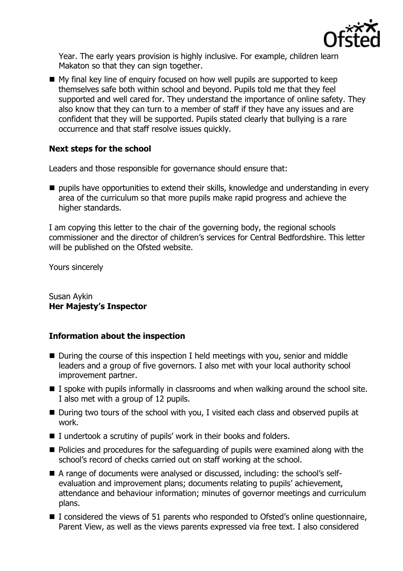

Year. The early years provision is highly inclusive. For example, children learn Makaton so that they can sign together.

■ My final key line of enquiry focused on how well pupils are supported to keep themselves safe both within school and beyond. Pupils told me that they feel supported and well cared for. They understand the importance of online safety. They also know that they can turn to a member of staff if they have any issues and are confident that they will be supported. Pupils stated clearly that bullying is a rare occurrence and that staff resolve issues quickly.

# **Next steps for the school**

Leaders and those responsible for governance should ensure that:

 $\blacksquare$  pupils have opportunities to extend their skills, knowledge and understanding in every area of the curriculum so that more pupils make rapid progress and achieve the higher standards.

I am copying this letter to the chair of the governing body, the regional schools commissioner and the director of children's services for Central Bedfordshire. This letter will be published on the Ofsted website.

Yours sincerely

Susan Aykin **Her Majesty's Inspector**

### **Information about the inspection**

- During the course of this inspection I held meetings with you, senior and middle leaders and a group of five governors. I also met with your local authority school improvement partner.
- $\blacksquare$  I spoke with pupils informally in classrooms and when walking around the school site. I also met with a group of 12 pupils.
- During two tours of the school with you, I visited each class and observed pupils at work.
- $\blacksquare$  I undertook a scrutiny of pupils' work in their books and folders.
- Policies and procedures for the safeguarding of pupils were examined along with the school's record of checks carried out on staff working at the school.
- A range of documents were analysed or discussed, including: the school's selfevaluation and improvement plans; documents relating to pupils' achievement, attendance and behaviour information; minutes of governor meetings and curriculum plans.
- I considered the views of 51 parents who responded to Ofsted's online questionnaire, Parent View, as well as the views parents expressed via free text. I also considered